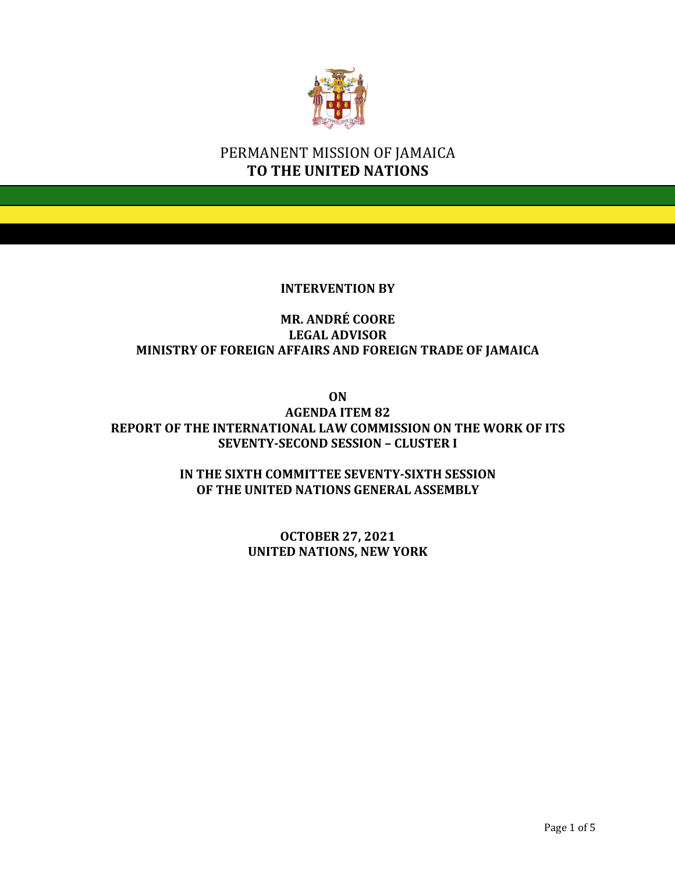

# PERMANENT MISSION OF JAMAICA **TO THE UNITED NATIONS**

#### **INTERVENTION BY**

## **MR. ANDRÉ COORE LEGAL ADVISOR MINISTRY OF FOREIGN AFFAIRS AND FOREIGN TRADE OF JAMAICA**

**ON**

**AGENDA ITEM 82 REPORT OF THE INTERNATIONAL LAW COMMISSION ON THE WORK OF ITS SEVENTY-SECOND SESSION – CLUSTER I**

> **IN THE SIXTH COMMITTEE SEVENTY-SIXTH SESSION OF THE UNITED NATIONS GENERAL ASSEMBLY**

> > **OCTOBER 27, 2021 UNITED NATIONS, NEW YORK**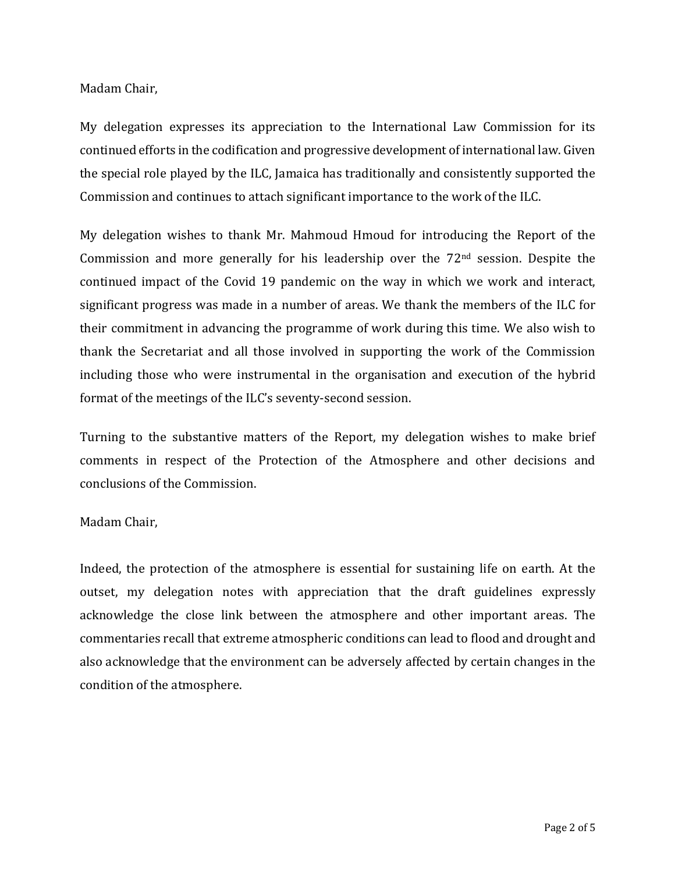Madam Chair, 

My delegation expresses its appreciation to the International Law Commission for its continued efforts in the codification and progressive development of international law. Given the special role played by the ILC, Jamaica has traditionally and consistently supported the Commission and continues to attach significant importance to the work of the ILC.

My delegation wishes to thank Mr. Mahmoud Hmoud for introducing the Report of the Commission and more generally for his leadership over the  $72<sup>nd</sup>$  session. Despite the continued impact of the Covid 19 pandemic on the way in which we work and interact, significant progress was made in a number of areas. We thank the members of the ILC for their commitment in advancing the programme of work during this time. We also wish to thank the Secretariat and all those involved in supporting the work of the Commission including those who were instrumental in the organisation and execution of the hybrid format of the meetings of the ILC's seventy-second session.

Turning to the substantive matters of the Report, my delegation wishes to make brief comments in respect of the Protection of the Atmosphere and other decisions and conclusions of the Commission.

Madam Chair, 

Indeed, the protection of the atmosphere is essential for sustaining life on earth. At the outset, my delegation notes with appreciation that the draft guidelines expressly acknowledge the close link between the atmosphere and other important areas. The commentaries recall that extreme atmospheric conditions can lead to flood and drought and also acknowledge that the environment can be adversely affected by certain changes in the condition of the atmosphere.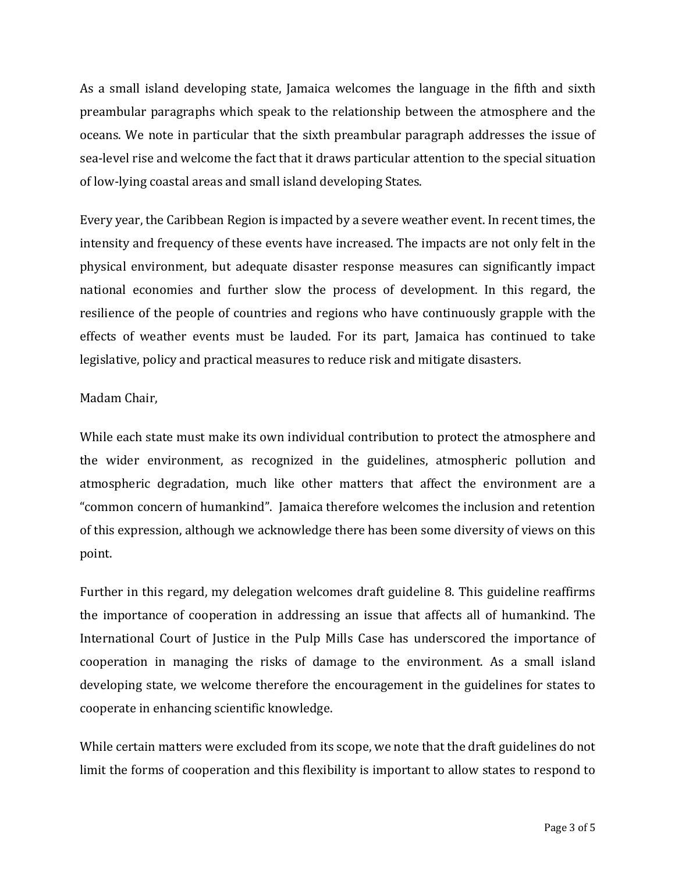As a small island developing state, Jamaica welcomes the language in the fifth and sixth preambular paragraphs which speak to the relationship between the atmosphere and the oceans. We note in particular that the sixth preambular paragraph addresses the issue of sea-level rise and welcome the fact that it draws particular attention to the special situation of low-lying coastal areas and small island developing States.

Every year, the Caribbean Region is impacted by a severe weather event. In recent times, the intensity and frequency of these events have increased. The impacts are not only felt in the physical environment, but adequate disaster response measures can significantly impact national economies and further slow the process of development. In this regard, the resilience of the people of countries and regions who have continuously grapple with the effects of weather events must be lauded. For its part, Jamaica has continued to take legislative, policy and practical measures to reduce risk and mitigate disasters.

#### Madam Chair,

While each state must make its own individual contribution to protect the atmosphere and the wider environment, as recognized in the guidelines, atmospheric pollution and atmospheric degradation, much like other matters that affect the environment are a "common concern of humankind". Jamaica therefore welcomes the inclusion and retention of this expression, although we acknowledge there has been some diversity of views on this point. 

Further in this regard, my delegation welcomes draft guideline 8. This guideline reaffirms the importance of cooperation in addressing an issue that affects all of humankind. The International Court of Justice in the Pulp Mills Case has underscored the importance of cooperation in managing the risks of damage to the environment. As a small island developing state, we welcome therefore the encouragement in the guidelines for states to cooperate in enhancing scientific knowledge.

While certain matters were excluded from its scope, we note that the draft guidelines do not limit the forms of cooperation and this flexibility is important to allow states to respond to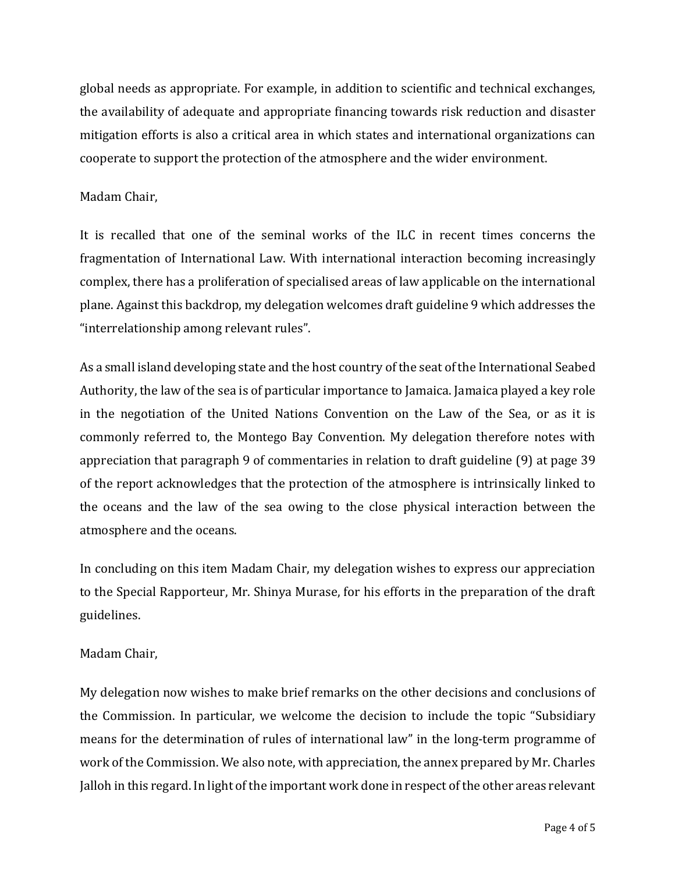global needs as appropriate. For example, in addition to scientific and technical exchanges, the availability of adequate and appropriate financing towards risk reduction and disaster mitigation efforts is also a critical area in which states and international organizations can cooperate to support the protection of the atmosphere and the wider environment.

#### Madam Chair,

It is recalled that one of the seminal works of the ILC in recent times concerns the fragmentation of International Law. With international interaction becoming increasingly complex, there has a proliferation of specialised areas of law applicable on the international plane. Against this backdrop, my delegation welcomes draft guideline 9 which addresses the "interrelationship among relevant rules".

As a small island developing state and the host country of the seat of the International Seabed Authority, the law of the sea is of particular importance to Jamaica. Jamaica played a key role in the negotiation of the United Nations Convention on the Law of the Sea, or as it is commonly referred to, the Montego Bay Convention. My delegation therefore notes with appreciation that paragraph 9 of commentaries in relation to draft guideline (9) at page 39 of the report acknowledges that the protection of the atmosphere is intrinsically linked to the oceans and the law of the sea owing to the close physical interaction between the atmosphere and the oceans.

In concluding on this item Madam Chair, my delegation wishes to express our appreciation to the Special Rapporteur, Mr. Shinya Murase, for his efforts in the preparation of the draft guidelines.

### Madam Chair,

My delegation now wishes to make brief remarks on the other decisions and conclusions of the Commission. In particular, we welcome the decision to include the topic "Subsidiary" means for the determination of rules of international law" in the long-term programme of work of the Commission. We also note, with appreciation, the annex prepared by Mr. Charles Jalloh in this regard. In light of the important work done in respect of the other areas relevant